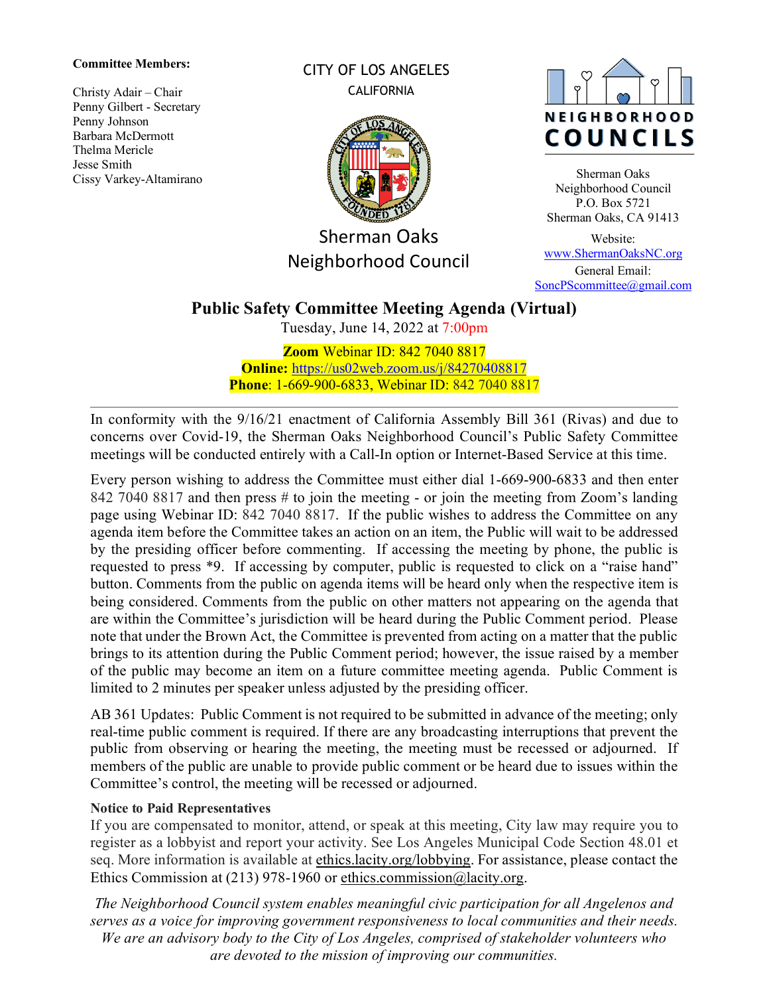#### **Committee Members:**

Christy Adair – Chair Penny Gilbert - Secretary Penny Johnson Barbara McDermott Thelma Mericle Jesse Smith Cissy Varkey-Altamirano CITY OF LOS ANGELES **CALIFORNIA** 



Sherman Oaks Neighborhood Council



Sherman Oaks Neighborhood Council P.O. Box 5721 Sherman Oaks, CA 91413

Website: [www.ShermanOaksNC.org](http://www.shermanoaksnc.org/) General Email: [SoncPScommittee@gmail.com](mailto:SoncPScommittee@gmail.com)

# **Public Safety Committee Meeting Agenda (Virtual)**

Tuesday, June 14, 2022 at 7:00pm

**Zoom** Webinar ID: 842 7040 8817 **Online:** <https://us02web.zoom.us/j/84270408817> **Phone**: 1-669-900-6833, Webinar ID: 842 7040 8817

In conformity with the 9/16/21 enactment of California Assembly Bill 361 (Rivas) and due to concerns over Covid-19, the Sherman Oaks Neighborhood Council's Public Safety Committee meetings will be conducted entirely with a Call-In option or Internet-Based Service at this time.

Every person wishing to address the Committee must either dial 1-669-900-6833 and then enter 842 7040 8817 and then press # to join the meeting - or join the meeting from Zoom's landing page using Webinar ID: 842 7040 8817. If the public wishes to address the Committee on any agenda item before the Committee takes an action on an item, the Public will wait to be addressed by the presiding officer before commenting. If accessing the meeting by phone, the public is requested to press \*9. If accessing by computer, public is requested to click on a "raise hand" button. Comments from the public on agenda items will be heard only when the respective item is being considered. Comments from the public on other matters not appearing on the agenda that are within the Committee's jurisdiction will be heard during the Public Comment period. Please note that under the Brown Act, the Committee is prevented from acting on a matter that the public brings to its attention during the Public Comment period; however, the issue raised by a member of the public may become an item on a future committee meeting agenda. Public Comment is limited to 2 minutes per speaker unless adjusted by the presiding officer.

AB 361 Updates: Public Comment is not required to be submitted in advance of the meeting; only real-time public comment is required. If there are any broadcasting interruptions that prevent the public from observing or hearing the meeting, the meeting must be recessed or adjourned. If members of the public are unable to provide public comment or be heard due to issues within the Committee's control, the meeting will be recessed or adjourned.

### **Notice to Paid Representatives**

If you are compensated to monitor, attend, or speak at this meeting, City law may require you to register as a lobbyist and report your activity. See Los Angeles Municipal Code Section 48.01 et seq. More information is available at [ethics.lacity.org/lobbying.](http://ethics.lacity.org/lobbying) For assistance, please contact the Ethics Commission at (213) 978-1960 or [ethics.commission@lacity.org.](mailto:ethics.commission@lacity.org)

*The Neighborhood Council system enables meaningful civic participation for all Angelenos and serves as a voice for improving government responsiveness to local communities and their needs. We are an advisory body to the City of Los Angeles, comprised of stakeholder volunteers who are devoted to the mission of improving our communities.*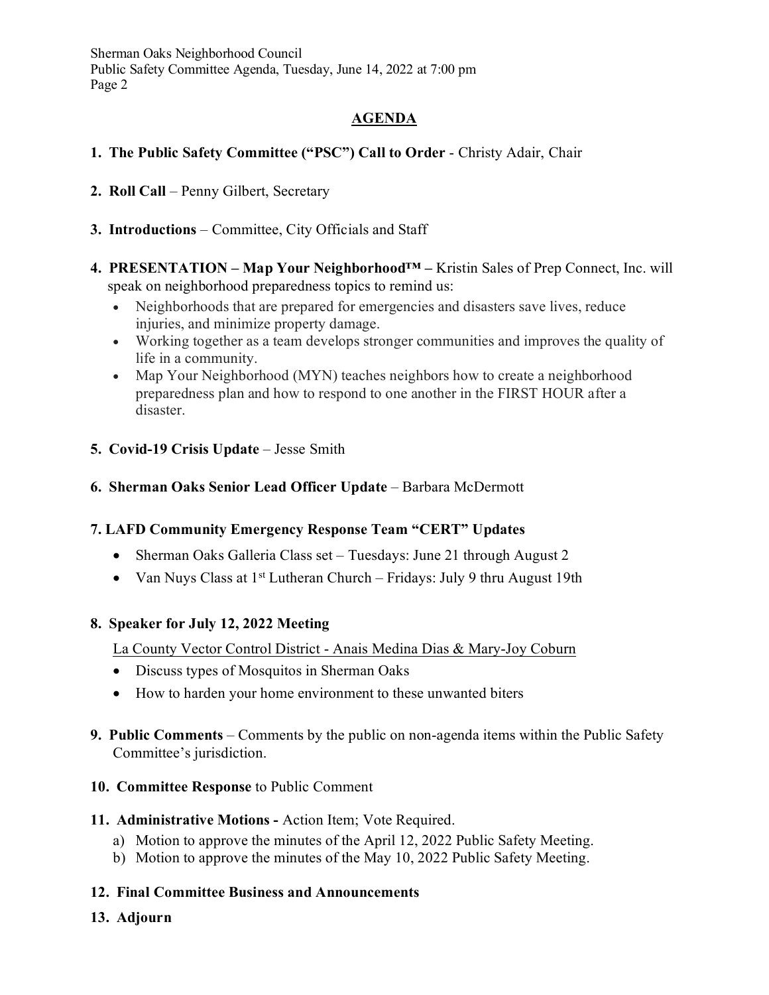Sherman Oaks Neighborhood Council Public Safety Committee Agenda, Tuesday, June 14, 2022 at 7:00 pm Page 2

# **AGENDA**

## **1. The Public Safety Committee ("PSC") Call to Order** - Christy Adair, Chair

- **2. Roll Call** Penny Gilbert, Secretary
- **3. Introductions** Committee, City Officials and Staff
- **4. PRESENTATION Map Your Neighborhood™ –** Kristin Sales of Prep Connect, Inc. will speak on neighborhood preparedness topics to remind us:
	- Neighborhoods that are prepared for emergencies and disasters save lives, reduce injuries, and minimize property damage.
	- Working together as a team develops stronger communities and improves the quality of life in a community.
	- Map Your Neighborhood (MYN) teaches neighbors how to create a neighborhood preparedness plan and how to respond to one another in the FIRST HOUR after a disaster.
- **5. Covid-19 Crisis Update** Jesse Smith

#### **6. Sherman Oaks Senior Lead Officer Update** – Barbara McDermott

### **7. LAFD Community Emergency Response Team "CERT" Updates**

- Sherman Oaks Galleria Class set Tuesdays: June 21 through August 2
- Van Nuys Class at  $1^{st}$  Lutheran Church Fridays: July 9 thru August 19th

### **8. Speaker for July 12, 2022 Meeting**

#### La County Vector Control District - Anais Medina Dias & Mary-Joy Coburn

- Discuss types of Mosquitos in Sherman Oaks
- How to harden your home environment to these unwanted biters
- **9. Public Comments** Comments by the public on non-agenda items within the Public Safety Committee's jurisdiction.
- **10. Committee Response** to Public Comment
- **11. Administrative Motions** Action Item; Vote Required.
	- a) Motion to approve the minutes of the April 12, 2022 Public Safety Meeting.
	- b) Motion to approve the minutes of the May 10, 2022 Public Safety Meeting.

#### **12. Final Committee Business and Announcements**

**13. Adjourn**